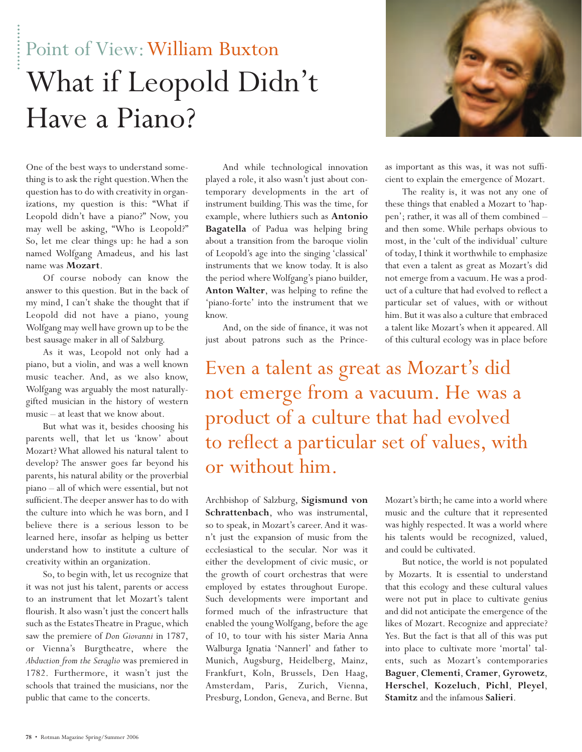## Point of View:William Buxton What if Leopold Didn't Have a Piano?



One of the best ways to understand something is to ask the right question.When the question has to do with creativity in organizations, my question is this: "What if Leopold didn't have a piano?" Now, you may well be asking, "Who is Leopold?" So, let me clear things up: he had a son named Wolfgang Amadeus, and his last name was **Mozart**.

Of course nobody can know the answer to this question. But in the back of my mind, I can't shake the thought that if Leopold did not have a piano, young Wolfgang may well have grown up to be the best sausage maker in all of Salzburg.

As it was, Leopold not only had a piano, but a violin, and was a well known music teacher. And, as we also know, Wolfgang was arguably the most naturallygifted musician in the history of western music – at least that we know about.

But what was it, besides choosing his parents well, that let us 'know' about Mozart? What allowed his natural talent to develop? The answer goes far beyond his parents, his natural ability or the proverbial piano – all of which were essential, but not sufficient.The deeper answer has to do with the culture into which he was born, and I believe there is a serious lesson to be learned here, insofar as helping us better understand how to institute a culture of creativity within an organization.

So, to begin with, let us recognize that it was not just his talent, parents or access to an instrument that let Mozart's talent flourish. It also wasn't just the concert halls such as the Estates Theatre in Prague, which saw the premiere of *Don Giovanni* in 1787, or Vienna's Burgtheatre, where the *Abduction from the Seraglio* was premiered in 1782. Furthermore, it wasn't just the schools that trained the musicians, nor the public that came to the concerts.

played a role, it also wasn't just about contemporary developments in the art of instrument building.This was the time, for example, where luthiers such as **Antonio Bagatella** of Padua was helping bring about a transition from the baroque violin of Leopold's age into the singing 'classical' instruments that we know today. It is also the period where Wolfgang's piano builder, **Anton Walter**, was helping to refine the 'piano-forte' into the instrument that we know.

And, on the side of finance, it was not just about patrons such as the Prince-

as important as this was, it was not sufficient to explain the emergence of Mozart.

The reality is, it was not any one of these things that enabled a Mozart to 'happen'; rather, it was all of them combined – and then some. While perhaps obvious to most, in the 'cult of the individual' culture of today, I think it worthwhile to emphasize that even a talent as great as Mozart's did not emerge from a vacuum. He was a product of a culture that had evolved to reflect a particular set of values, with or without him. But it was also a culture that embraced a talent like Mozart's when it appeared. All of this cultural ecology was in place before

Even a talent as great as Mozart's did not emerge from a vacuum. He was a product of a culture that had evolved to reflect a particular set of values, with or without him.

Archbishop of Salzburg, **Sigismund von Schrattenbach**, who was instrumental, so to speak, in Mozart's career. And it wasn't just the expansion of music from the ecclesiastical to the secular. Nor was it either the development of civic music, or the growth of court orchestras that were employed by estates throughout Europe. Such developments were important and formed much of the infrastructure that enabled the young Wolfgang, before the age of 10, to tour with his sister Maria Anna Walburga Ignatia 'Nannerl' and father to Munich, Augsburg, Heidelberg, Mainz, Frankfurt, Koln, Brussels, Den Haag, Amsterdam, Paris, Zurich, Vienna, Presburg, London, Geneva, and Berne. But

Mozart's birth; he came into a world where music and the culture that it represented was highly respected. It was a world where his talents would be recognized, valued, and could be cultivated.

But notice, the world is not populated by Mozarts. It is essential to understand that this ecology and these cultural values were not put in place to cultivate genius and did not anticipate the emergence of the likes of Mozart. Recognize and appreciate? Yes. But the fact is that all of this was put into place to cultivate more 'mortal' talents, such as Mozart's contemporaries **Baguer**, **Clementi**, **Cramer**, **Gyrowetz**, **Herschel**, **Kozeluch**, **Pichl**, **Pleyel**, **Stamitz** and the infamous **Salieri**.